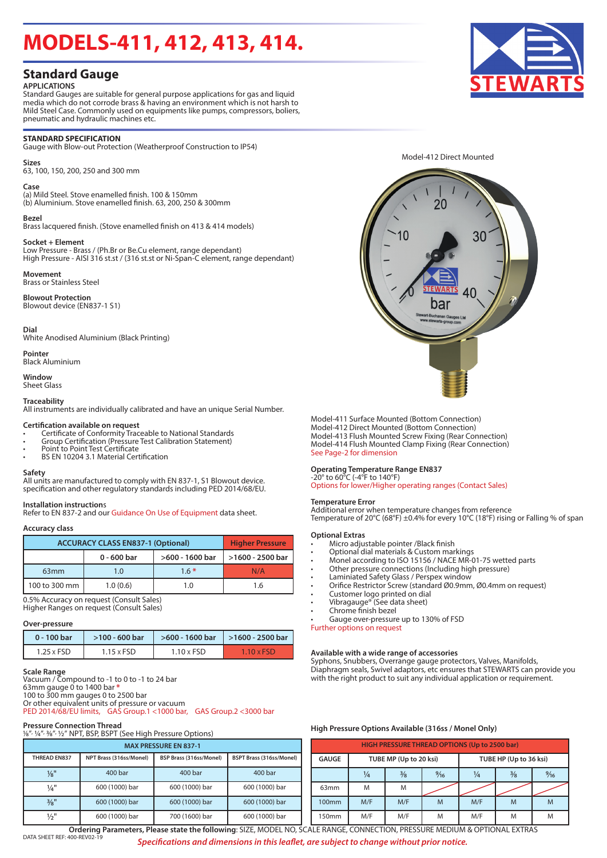# **MODELS-411, 412, 413, 414.**

# **Standard Gauge**

### **APPLICATIONS**

Standard Gauges are suitable for general purpose applications for gas and liquid media which do not corrode brass & having an environment which is not harsh to Mild Steel Case. Commonly used on equipments like pumps, compressors, boliers, pneumatic and hydraulic machines etc.

### **STANDARD SPECIFICATION**

Gauge with Blow-out Protection (Weatherproof Construction to IP54)

### **Sizes**

63, 100, 150, 200, 250 and 300 mm

### **Case**

(a) Mild Steel. Stove enamelled finish. 100 & 150mm (b) Aluminium. Stove enamelled finish. 63, 200, 250 & 300mm

### **Bezel**

Brass lacquered finish. (Stove enamelled finish on 413 & 414 models)

### **Socket + Element**

Low Pressure - Brass / (Ph.Br or Be.Cu element, range dependant) High Pressure - AISI 316 st.st / (316 st.st or Ni-Span-C element, range dependant)

### **Movement**

Brass or Stainless Steel

**Blowout Protection** Blowout device (EN837-1 S1)

### **Dial**

White Anodised Aluminium (Black Printing)

**Pointer** Black Aluminium

## **Window**

Sheet Glass

### **Traceability**

All instruments are individually calibrated and have an unique Serial Number.

### **Certification available on request**

- Certificate of Conformity Traceable to National Standards Group Certification (Pressure Test Calibration Statement) Point to Point Test Certificate BS EN 10204 3.1 Material Certification
- 
- 

**Safety** All units are manufactured to comply with EN 837-1, S1 Blowout device. specification and other regulatory standards including PED 2014/68/EU.

**Installation instructions**<br>Refer to EN 837-2 and our Guidance On Use of Equipment data sheet.

### **Accuracy class**

| <b>ACCURACY CLASS EN837-1 (Optional)</b> | <b>Higher Pressure</b> |                 |                  |  |  |
|------------------------------------------|------------------------|-----------------|------------------|--|--|
|                                          | 0 - 600 bar            | >600 - 1600 bar | >1600 - 2500 bar |  |  |
| 63 <sub>mm</sub>                         | 1.0                    | $1.6*$          | N/A              |  |  |
| 100 to 300 mm                            | 1.0(0.6)               | 1.0             | 1.6              |  |  |

0.5% Accuracy on request (Consult Sales) Higher Ranges on request (Consult Sales)

### **Over-pressure**

| 0 - 100 bar       | $>100 - 600$ bar  |                   | $>600 - 1600$ bar   $>1600 - 2500$ bar |
|-------------------|-------------------|-------------------|----------------------------------------|
| $1.25 \times FSD$ | $1.15 \times FSD$ | $1.10 \times FSD$ | <b>T.10 x FSD</b>                      |

### **Scale Range**

Vacuum / Compound to -1 to 0 to -1 to 24 bar 63mm gauge 0 to 1400 bar \*<br>100 to 300 mm gauges 0 to 2500 bar<br>Or other equivalent units of pressure or vacuum PED 2014/68/EU limits, GAS Group.1 <1000 bar, GAS Group.2 <3000 bar

### **Pressure Connection Thread**

| 1/8", 1/4", 3/8", 1/2" NPT, BSP, BSPT (See High Pressure Options) |                                                                                |                |                |  |  |  |  |  |  |
|-------------------------------------------------------------------|--------------------------------------------------------------------------------|----------------|----------------|--|--|--|--|--|--|
| <b>MAX PRESSURE EN 837-1</b>                                      |                                                                                |                |                |  |  |  |  |  |  |
| THREAD EN837                                                      | NPT Brass (316ss/Monel)<br>BSP Brass (316ss/Monel)<br>BSPT Brass (316ss/Monel) |                |                |  |  |  |  |  |  |
| $\frac{1}{8}$ "                                                   | 400 bar                                                                        | 400 bar        | 400 bar        |  |  |  |  |  |  |
| $\frac{1}{4}$ "                                                   | 600 (1000) bar                                                                 | 600 (1000) bar | 600 (1000) bar |  |  |  |  |  |  |
| 3/8"                                                              | 600 (1000) bar                                                                 | 600 (1000) bar | 600 (1000) bar |  |  |  |  |  |  |
| $\frac{1}{2}$ "                                                   | 600 (1000) bar                                                                 | 700 (1600) bar | 600 (1000) bar |  |  |  |  |  |  |



Model-412 Direct Mounted



Model-411 Surface Mounted (Bottom Connection) Model-412 Direct Mounted (Bottom Connection) Model-413 Flush Mounted Screw Fixing (Rear Connection) Model-414 Flush Mounted Clamp Fixing (Rear Connection) See Page-2 for dimension

### **Operating Temperature Range EN837**

-20° to 60°C (-4°F to 140°F) Options for lower/Higher operating ranges (Contact Sales)

### **Temperature Error**

Additional error when temperature changes from reference Temperature of 20°C (68°F) ±0.4% for every 10°C (18°F) rising or Falling % of span

### **Optional Extras**

- Micro adjustable pointer /Black finish
- Optional dial materials & Custom markings
- Monel according to ISO 15156 / NACE MR-01-75 wetted parts
- Other pressure connections (Including high pressure)
	- Laminiated Safety Glass / Perspex window
- Orifice Restrictor Screw (standard Ø0.9mm, Ø0.4mm on request)
- Customer logo printed on dial
- Vibragauge® (See data sheet)
- Chrome finish bezel
- Gauge over-pressure up to 130% of FSD

Further options on request

### **Available with a wide range of accessories**

Syphons, Snubbers, Overrange gauge protectors, Valves, Manifolds, Diaphragm seals, Swivel adaptors, etc ensures that STEWARTS can provide you with the right product to suit any individual application or requirement.

### **High Pressure Options Available (316ss / Monel Only)**

| <b>HIGH PRESSURE THREAD OPTIONS (Up to 2500 bar)</b> |               |                        |                |                        |               |                |  |  |  |  |
|------------------------------------------------------|---------------|------------------------|----------------|------------------------|---------------|----------------|--|--|--|--|
| <b>GAUGE</b>                                         |               | TUBE MP (Up to 20 ksi) |                | TUBE HP (Up to 36 ksi) |               |                |  |  |  |  |
|                                                      | $\frac{1}{4}$ | $\frac{3}{8}$          | $\frac{9}{16}$ | $\frac{1}{4}$          | $\frac{3}{8}$ | $\frac{9}{16}$ |  |  |  |  |
| 63mm                                                 | M             | M                      |                |                        |               |                |  |  |  |  |
| 100mm                                                | M/F           | M/F                    | M              | M/F                    | M             | M              |  |  |  |  |
| 150mm                                                | M/F           | M/F                    | M              | M/F                    | M             |                |  |  |  |  |

DATA SHEET REF: 400-REV02-1 *Specifications and dimensions in this leaflet, are subject to change without prior notice.* **Ordering Parameters, Please state the following**: SIZE, MODEL NO, SCALE RANGE, CONNECTION, PRESSURE MEDIUM & OPTIONAL EXTRAS